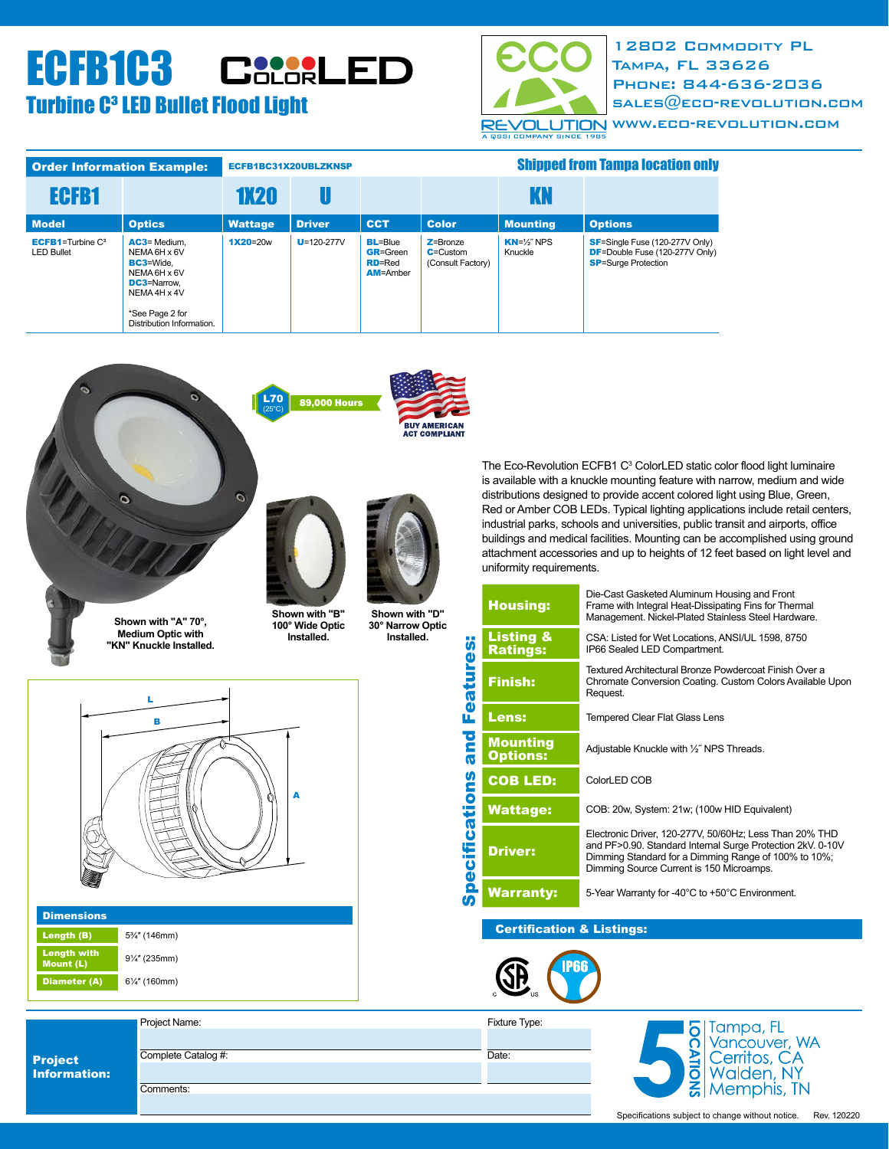# **Turbine C<sup>3</sup> LED Bullet Flood Light** ECFB1C3 CSCSRLED



12802 Commodity PL Tampa, FL 33626 Phone: 844-636-2036 SALES $@$ ECO-REVOLUTION.COM [www.eco-revolution.com](http://eco-revolution.com)

| <b>Order Information Example:</b>                |                                                                                                                                                          | ECFB1BC31X20UBLZKNSP |                  |                                                                        | <b>Shipped from Tampa location only</b>           |                                   |                                                                                                                |
|--------------------------------------------------|----------------------------------------------------------------------------------------------------------------------------------------------------------|----------------------|------------------|------------------------------------------------------------------------|---------------------------------------------------|-----------------------------------|----------------------------------------------------------------------------------------------------------------|
| ECFB1                                            |                                                                                                                                                          | <b>1X20</b>          |                  |                                                                        |                                                   | KN                                |                                                                                                                |
| <b>Model</b>                                     | <b>Optics</b>                                                                                                                                            | <b>Wattage</b>       | <b>Driver</b>    | <b>CCT</b>                                                             | <b>Color</b>                                      | <b>Mounting</b>                   | <b>Options</b>                                                                                                 |
| <b>ECFB1</b> =Turbine $C^3$<br><b>LED Bullet</b> | AC3= Medium.<br>NEMA 6H x 6V<br><b>BC3</b> =Wide.<br>NEMA 6H x 6V<br><b>DC3</b> =Narrow.<br>NEMA 4H x 4V<br>*See Page 2 for<br>Distribution Information. | $1X20 = 20w$         | $U = 120 - 277V$ | <b>BL=Blue</b><br><b>GR=Green</b><br><b>RD</b> =Red<br><b>AM=Amber</b> | $Z =$ Bronze<br>$C =$ Custom<br>(Consult Factory) | $KN = \frac{1}{2}$ NPS<br>Knuckle | <b>SF</b> =Single Fuse (120-277V Only)<br><b>DF=Double Fuse (120-277V Only)</b><br><b>SP</b> =Surge Protection |







**Shown with "B" 100° Wide Optic Installed.**

(25°C)

**Shown with "D" 30° Narrow Optic Installed.**

The Eco-Revolution ECFB1 C<sup>3</sup> ColorLED static color flood light luminaire is available with a knuckle mounting feature with narrow, medium and wide distributions designed to provide accent colored light using Blue, Green, Red or Amber COB LEDs. Typical lighting applications include retail centers, industrial parks, schools and universities, public transit and airports, office buildings and medical facilities. Mounting can be accomplished using ground attachment accessories and up to heights of 12 feet based on light level and uniformity requirements.

| <b>Housing:</b>                         | Die-Cast Gasketed Aluminum Housing and Front<br>Frame with Integral Heat-Dissipating Fins for Thermal<br>Management. Nickel-Plated Stainless Steel Hardware.                                                              |  |  |  |  |
|-----------------------------------------|---------------------------------------------------------------------------------------------------------------------------------------------------------------------------------------------------------------------------|--|--|--|--|
| <b>Listing &amp;</b><br><b>Ratings:</b> | CSA: Listed for Wet Locations, ANSI/UL 1598, 8750<br>IP66 Sealed LED Compartment.                                                                                                                                         |  |  |  |  |
| <b>Finish:</b>                          | Textured Architectural Bronze Powdercoat Finish Over a<br>Chromate Conversion Coating. Custom Colors Available Upon<br>Request.                                                                                           |  |  |  |  |
| <b>Lens:</b>                            | <b>Tempered Clear Flat Glass Lens</b>                                                                                                                                                                                     |  |  |  |  |
| <b>Mounting</b><br><b>Options:</b>      | Adjustable Knuckle with 1/2" NPS Threads.                                                                                                                                                                                 |  |  |  |  |
| <b>COB LED:</b>                         | ColorLED COB                                                                                                                                                                                                              |  |  |  |  |
| <b>Wattage:</b>                         | COB: 20w, System: 21w; (100w HID Equivalent)                                                                                                                                                                              |  |  |  |  |
| <b>Driver:</b>                          | Electronic Driver, 120-277V, 50/60Hz; Less Than 20% THD<br>and PF>0.90. Standard Internal Surge Protection 2kV. 0-10V<br>Dimming Standard for a Dimming Range of 100% to 10%;<br>Dimming Source Current is 150 Microamps. |  |  |  |  |
| <b>Warranty:</b>                        | 5-Year Warranty for -40°C to +50°C Environment.                                                                                                                                                                           |  |  |  |  |

#### Certification & Listings:



Fixture Type:

Specifications and Features:

**Specifications and Features:** 







| <b>Dimensions</b>                      |               |  |  |  |
|----------------------------------------|---------------|--|--|--|
| Length (B)                             | 5%" (146mm)   |  |  |  |
| <b>Length with</b><br><b>Mount (L)</b> | 91/4" (235mm) |  |  |  |
| <b>Diameter (A)</b>                    | 61/4" (160mm) |  |  |  |

Project Information: Comments: Complete Catalog #:

Project Name: